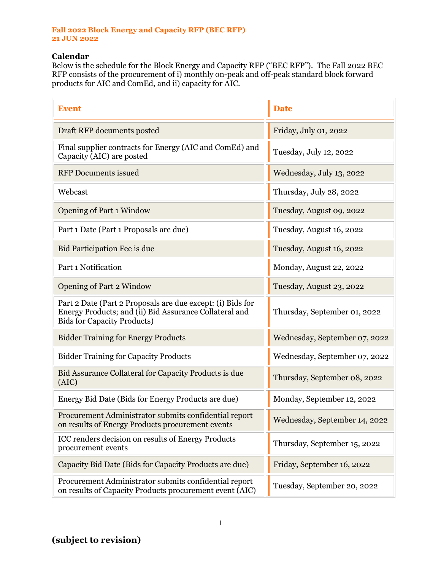## **Fall 2022 Block Energy and Capacity RFP (BEC RFP) 21 JUN 2022**

## **Calendar**

Below is the schedule for the Block Energy and Capacity RFP ("BEC RFP"). The Fall 2022 BEC RFP consists of the procurement of i) monthly on-peak and off-peak standard block forward products for AIC and ComEd, and ii) capacity for AIC.

| <b>Event</b>                                                                                                                                               | <b>Date</b>                   |
|------------------------------------------------------------------------------------------------------------------------------------------------------------|-------------------------------|
| Draft RFP documents posted                                                                                                                                 | Friday, July 01, 2022         |
| Final supplier contracts for Energy (AIC and ComEd) and<br>Capacity (AIC) are posted                                                                       | Tuesday, July 12, 2022        |
| <b>RFP</b> Documents issued                                                                                                                                | Wednesday, July 13, 2022      |
| Webcast                                                                                                                                                    | Thursday, July 28, 2022       |
| <b>Opening of Part 1 Window</b>                                                                                                                            | Tuesday, August 09, 2022      |
| Part 1 Date (Part 1 Proposals are due)                                                                                                                     | Tuesday, August 16, 2022      |
| Bid Participation Fee is due                                                                                                                               | Tuesday, August 16, 2022      |
| Part 1 Notification                                                                                                                                        | Monday, August 22, 2022       |
| <b>Opening of Part 2 Window</b>                                                                                                                            | Tuesday, August 23, 2022      |
| Part 2 Date (Part 2 Proposals are due except: (i) Bids for<br>Energy Products; and (ii) Bid Assurance Collateral and<br><b>Bids for Capacity Products)</b> | Thursday, September 01, 2022  |
| <b>Bidder Training for Energy Products</b>                                                                                                                 | Wednesday, September 07, 2022 |
| <b>Bidder Training for Capacity Products</b>                                                                                                               | Wednesday, September 07, 2022 |
| Bid Assurance Collateral for Capacity Products is due<br>(AIC)                                                                                             | Thursday, September 08, 2022  |
| Energy Bid Date (Bids for Energy Products are due)                                                                                                         | Monday, September 12, 2022    |
| Procurement Administrator submits confidential report<br>on results of Energy Products procurement events                                                  | Wednesday, September 14, 2022 |
| ICC renders decision on results of Energy Products<br>procurement events                                                                                   | Thursday, September 15, 2022  |
| Capacity Bid Date (Bids for Capacity Products are due)                                                                                                     | Friday, September 16, 2022    |
| Procurement Administrator submits confidential report<br>on results of Capacity Products procurement event (AIC)                                           | Tuesday, September 20, 2022   |